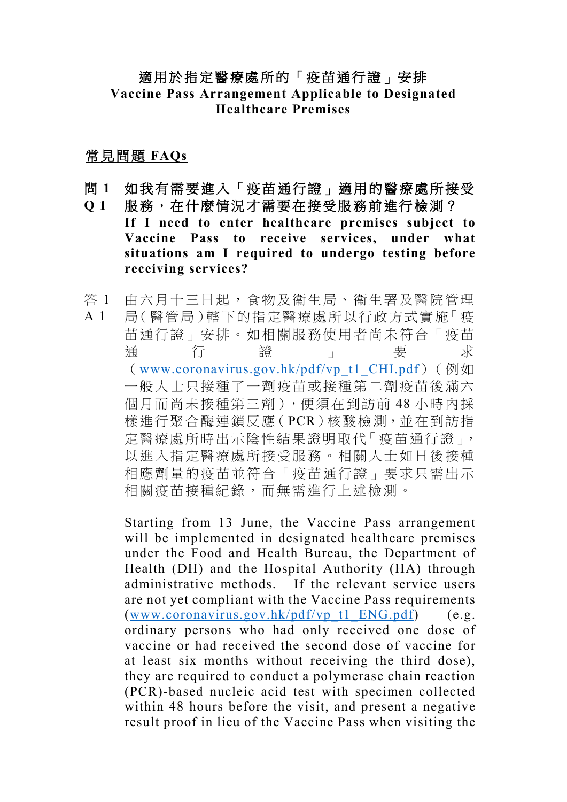## 適用於指定醫療處所的「疫苗通行證」安排 **Vaccine Pass Arrangement Applicable to Designated Healthcare Premises**

常見問題 **FAQs**

- 問 **1** 如我有需要進入「疫苗通行證」適用的醫療處所接受
- **Q 1** 服務,在什麼情況才需要在接受服務前進行檢測? **If I need to enter healthcare premises subject to Vaccine Pass to receive services, under what situations am I required to undergo testing before receiving services?**
- 答 1 A 1 由六月十三日起,食物及衞生局、衞生署及醫院管理 局(醫管局)轄下的指定醫療處所以行政方式實施「疫 苗通行證」安排。如相關服務使用者尚未符合「疫苗 通うせいの行いて、お證をしています。 要えば 求 ([www.coronavirus.gov.hk/pdf/vp\\_t1\\_CHI.pdf](http://www.coronavirus.gov.hk/pdf/vp_t1_CHI.pdf))(例如 一般人士只接種了一劑疫苗或接種第二劑疫苗後滿六 個月而尚未接種第三劑),便須在到訪前 48 小時內採 樣進行聚合酶連鎖反應(PCR)核酸檢測,並在到訪指 定醫療處所時出示陰性結果證明取代「疫苗通行證」, 以進入指定醫療處所接受服務。相關人士如日後接種 相應劑量的疫苗並符合「疫苗通行證」要求只需出示 相關疫苗接種紀錄,而無需進行上述檢測。

Starting from 13 June, the Vaccine Pass arrangement will be implemented in designated healthcare premises under the Food and Health Bureau, the Department of Health (DH) and the Hospital Authority (HA) through administrative methods. If the relevant service users are not yet compliant with the Vaccine Pass requirements [\(www.coronavirus.gov.hk/pdf/vp\\_t1\\_ENG.pdf\)](http://www.coronavirus.gov.hk/pdf/vp_t1_ENG.pdf) (e.g. ordinary persons who had only received one dose of vaccine or had received the second dose of vaccine for at least six months without receiving the third dose), they are required to conduct a polymerase chain reaction (PCR)-based nucleic acid test with specimen collected within 48 hours before the visit, and present a negative result proof in lieu of the Vaccine Pass when visiting the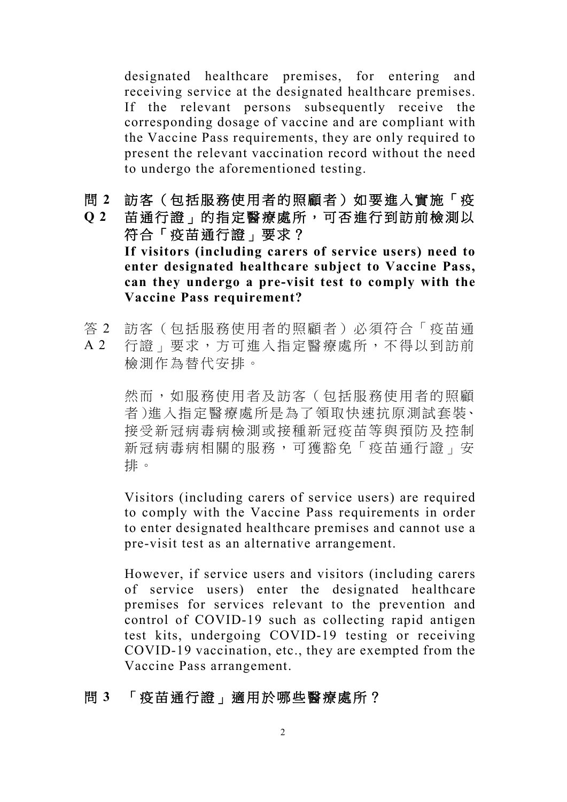designated healthcare premises, for entering and receiving service at the designated healthcare premises. If the relevant persons subsequently receive the corresponding dosage of vaccine and are compliant with the Vaccine Pass requirements, they are only required to present the relevant vaccination record without the need to undergo the aforementioned testing.

問 **2** 訪客(包括服務使用者的照顧者)如要進入實施「疫

**Q 2** 苗通行證」的指定醫療處所,可否進行到訪前檢測以 符合「疫苗通行證」要求? **If visitors (including carers of service users) need to enter designated healthcare subject to Vaccine Pass, can they undergo a pre-visit test to comply with the Vaccine Pass requirement?**

答 2 A 2 訪客(包括服務使用者的照顧者)必須符合「疫苗通 行證」要求,方可進入指定醫療處所,不得以到訪前 檢測作為替代安排。

> 然而,如服務使用者及訪客(包括服務使用者的照顧 者)進入指定醫療處所是為了領取快速抗原測試套裝、 接受新冠病毒病檢測或接種新冠疫苗等與預防及控制 新冠病毒病相關的服務,可獲豁免「疫苗通行證」安 排。

> Visitors (including carers of service users) are required to comply with the Vaccine Pass requirements in order to enter designated healthcare premises and cannot use a pre-visit test as an alternative arrangement.

> However, if service users and visitors (including carers of service users) enter the designated healthcare premises for services relevant to the prevention and control of COVID-19 such as collecting rapid antigen test kits, undergoing COVID-19 testing or receiving COVID-19 vaccination, etc., they are exempted from the Vaccine Pass arrangement.

## 問 **3** 「疫苗通行證」適用於哪些醫療處所?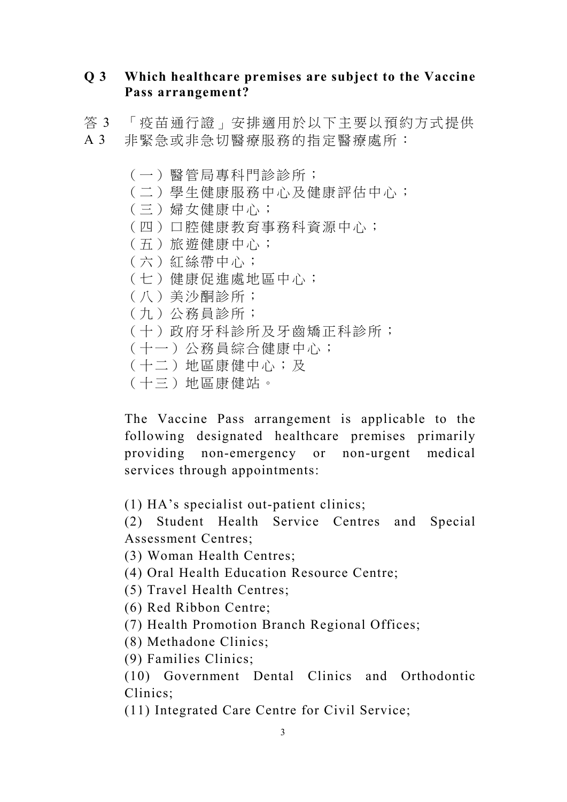## **Q 3 Which healthcare premises are subject to the Vaccine Pass arrangement?**

- 答 3 「疫苗通行證」安排適用於以下主要以預約方式提供 A 3 非緊急或非急切醫療服務的指定醫療處所:
	- (一)醫管局專科門診診所;
	- (二)學生健康服務中心及健康評估中心;
	- (三)婦女健康中心;
	- (四)口腔健康教育事務科資源中心;
	- (五)旅遊健康中心;
	- (六)紅絲帶中心;
	- (七)健康促進處地區中心;
	- (八)美沙酮診所;
	- (九)公務員診所;
	- (十)政府牙科診所及牙齒矯正科診所;
	- (十一)公務員綜合健康中心;
	- (十二)地區康健中心;及
	- (十三)地區康健站。

The Vaccine Pass arrangement is applicable to the following designated healthcare premises primarily providing non-emergency or non-urgent medical services through appointments:

(1) HA's specialist out-patient clinics;

(2) Student Health Service Centres and Special Assessment Centres;

- (3) Woman Health Centres;
- (4) Oral Health Education Resource Centre;
- (5) Travel Health Centres;
- (6) Red Ribbon Centre;
- (7) Health Promotion Branch Regional Offices;
- (8) Methadone Clinics;
- (9) Families Clinics;

(10) Government Dental Clinics and Orthodontic Clinics;

(11) Integrated Care Centre for Civil Service;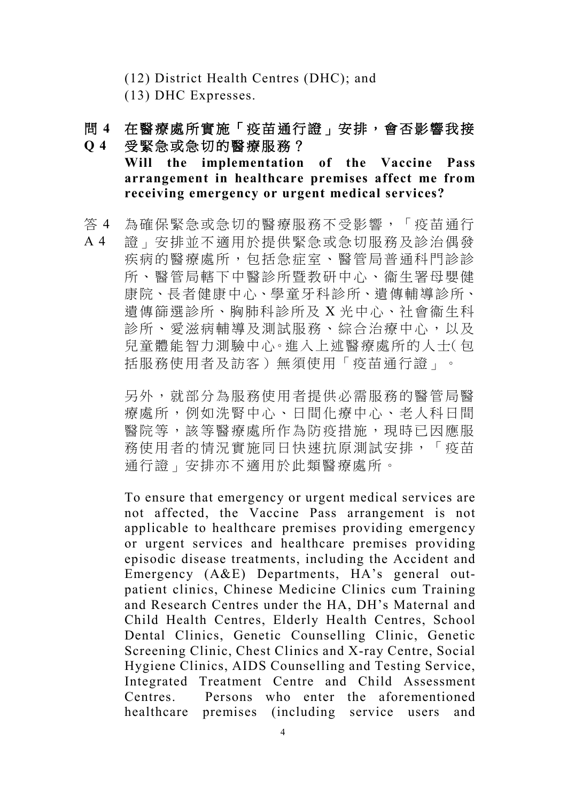(12) District Health Centres (DHC); and

(13) DHC Expresses.

## 問 **4 Q 4** 在醫療處所實施「疫苗通行證」安排,會否影響我接 受緊急或急切的醫療服務?

**Will the implementation of the Vaccine Pass arrangement in healthcare premises affect me from receiving emergency or urgent medical services?**

- 答 4 為確保緊急或急切的醫療服務不受影響,「疫苗通行
- A 4 證」安排並不適用於提供緊急或急切服務及診治偶發 疾病的醫療處所,包括急症室、醫管局普通科門診診 所、醫管局轄下中醫診所暨教研中心、衞生署母嬰健 康院、長者健康中心、學童牙科診所、遺傳輔導診所、 遺傳篩選診所、胸肺科診所及 X 光中心、社會衞生科 診所、愛滋病輔導及測試服務、綜合治療中心,以及 兒童體能智力測驗中心。進入上述醫療處所的人士(包 括服務使用者及訪客)無須使用「疫苗通行證」。

另外,就部分為服務使用者提供必需服務的醫管局醫 療處所,例如洗腎中心、日間化療中心、老人科日間 醫院等,該等醫療處所作為防疫措施,現時已因應服 務使用者的情況實施同日快速抗原測試安排,「疫苗 通行證」安排亦不適用於此類醫療處所。

To ensure that emergency or urgent medical services are not affected, the Vaccine Pass arrangement is not applicable to healthcare premises providing emergency or urgent services and healthcare premises providing episodic disease treatments, including the Accident and Emergency (A&E) Departments, HA's general outpatient clinics, Chinese Medicine Clinics cum Training and Research Centres under the HA, DH's Maternal and Child Health Centres, Elderly Health Centres, School Dental Clinics, Genetic Counselling Clinic, Genetic Screening Clinic, Chest Clinics and X-ray Centre, Social Hygiene Clinics, AIDS Counselling and Testing Service, Integrated Treatment Centre and Child Assessment Centres. Persons who enter the aforementioned healthcare premises (including service users and